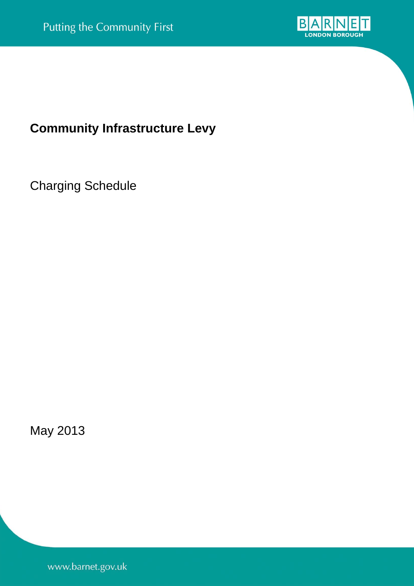

## **Community Infrastructure Levy**

Charging Schedule

May 2013

www.barnet.gov.uk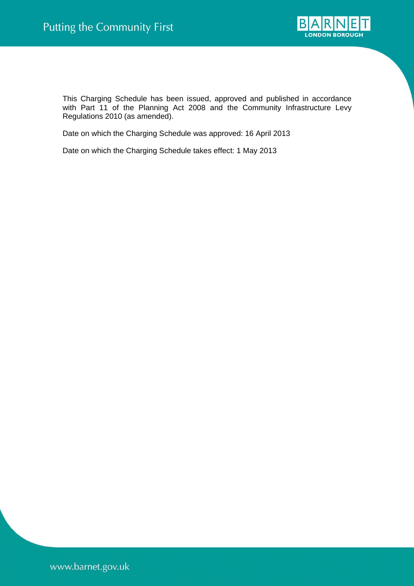

This Charging Schedule has been issued, approved and published in accordance with Part 11 of the Planning Act 2008 and the Community Infrastructure Levy Regulations 2010 (as amended).

Date on which the Charging Schedule was approved: 16 April 2013

Date on which the Charging Schedule takes effect: 1 May 2013